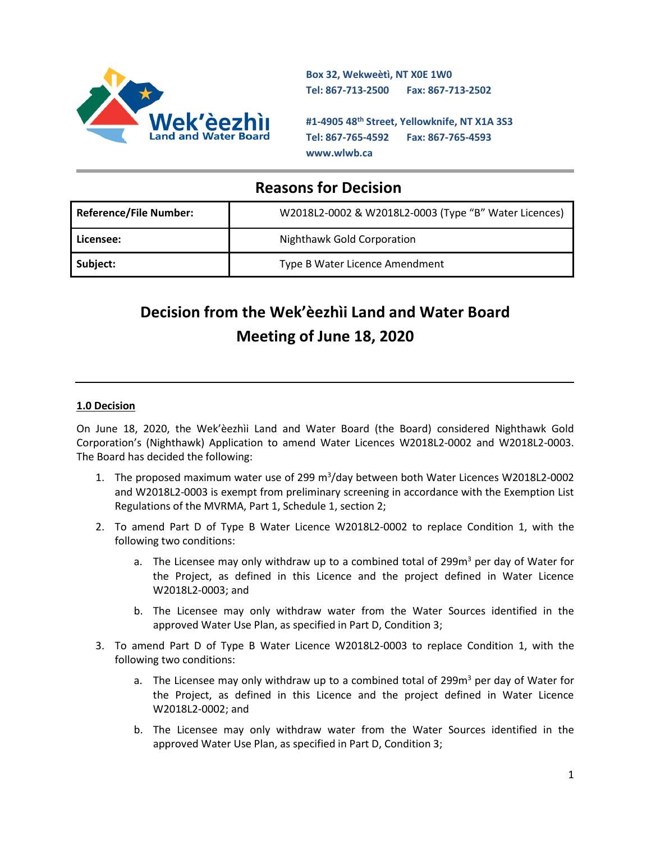

**Box 32, Wekweètì, NT X0E 1W0 Tel: 867-713-2500 Fax: 867-713-2502** 

**#1-4905 48th Street, Yellowknife, NT X1A 3S3 Tel: 867-765-4592 Fax: 867-765-4593 www.wlwb.ca**

# **Reasons for Decision**

| <b>Reference/File Number:</b> | W2018L2-0002 & W2018L2-0003 (Type "B" Water Licences) |
|-------------------------------|-------------------------------------------------------|
| Licensee:                     | Nighthawk Gold Corporation                            |
| Subject:                      | Type B Water Licence Amendment                        |

# **Decision from the Wek'èezhìi Land and Water Board Meeting of June 18, 2020**

#### **1.0 Decision**

On June 18, 2020, the Wek'èezhìi Land and Water Board (the Board) considered Nighthawk Gold Corporation's (Nighthawk) Application to amend Water Licences W2018L2-0002 and W2018L2-0003. The Board has decided the following:

- 1. The proposed maximum water use of 299 m<sup>3</sup>/day between both Water Licences W2018L2-0002 and W2018L2-0003 is exempt from preliminary screening in accordance with the Exemption List Regulations of the MVRMA, Part 1, Schedule 1, section 2;
- 2. To amend Part D of Type B Water Licence W2018L2-0002 to replace Condition 1, with the following two conditions:
	- a. The Licensee may only withdraw up to a combined total of 299 $m<sup>3</sup>$  per day of Water for the Project, as defined in this Licence and the project defined in Water Licence W2018L2-0003; and
	- b. The Licensee may only withdraw water from the Water Sources identified in the approved Water Use Plan, as specified in Part D, Condition 3;
- 3. To amend Part D of Type B Water Licence W2018L2-0003 to replace Condition 1, with the following two conditions:
	- a. The Licensee may only withdraw up to a combined total of 299 $m<sup>3</sup>$  per day of Water for the Project, as defined in this Licence and the project defined in Water Licence W2018L2-0002; and
	- b. The Licensee may only withdraw water from the Water Sources identified in the approved Water Use Plan, as specified in Part D, Condition 3;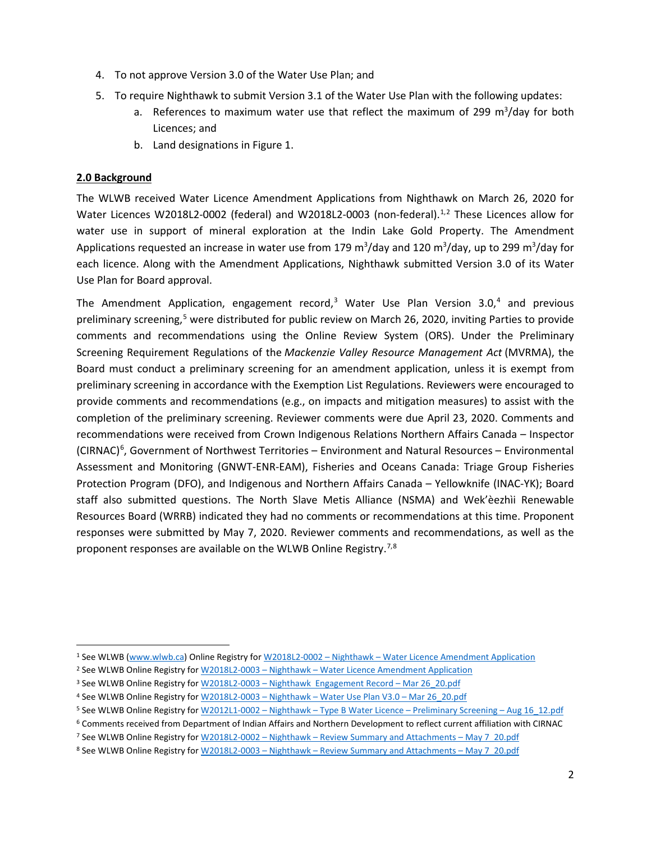- 4. To not approve Version 3.0 of the Water Use Plan; and
- 5. To require Nighthawk to submit Version 3.1 of the Water Use Plan with the following updates:
	- a. References to maximum water use that reflect the maximum of 299 m<sup>3</sup>/day for both Licences; and
	- b. Land designations in Figure 1.

# **2.0 Background**

The WLWB received Water Licence Amendment Applications from Nighthawk on March 26, 2020 for Water Licences W2018L2-0002 (federal) and W2018L2-0003 (non-federal).<sup>[1,](#page-1-0)[2](#page-1-1)</sup> These Licences allow for water use in support of mineral exploration at the Indin Lake Gold Property. The Amendment Applications requested an increase in water use from 179 m<sup>3</sup>/day and 120 m<sup>3</sup>/day, up to 299 m<sup>3</sup>/day for each licence. Along with the Amendment Applications, Nighthawk submitted Version 3.0 of its Water Use Plan for Board approval.

The Amendment Application, engagement record,<sup>[3](#page-1-2)</sup> Water Use Plan Version 3.0,<sup>[4](#page-1-3)</sup> and previous preliminary screening,<sup>[5](#page-1-4)</sup> were distributed for public review on March 26, 2020, inviting Parties to provide comments and recommendations using the Online Review System (ORS). Under the Preliminary Screening Requirement Regulations of the *Mackenzie Valley Resource Management Act* (MVRMA), the Board must conduct a preliminary screening for an amendment application, unless it is exempt from preliminary screening in accordance with the Exemption List Regulations. Reviewers were encouraged to provide comments and recommendations (e.g., on impacts and mitigation measures) to assist with the completion of the preliminary screening. Reviewer comments were due April 23, 2020. Comments and recommendations were received from Crown Indigenous Relations Northern Affairs Canada – Inspector (CIRNAC) [6](#page-1-5) , Government of Northwest Territories – Environment and Natural Resources – Environmental Assessment and Monitoring (GNWT-ENR-EAM), Fisheries and Oceans Canada: Triage Group Fisheries Protection Program (DFO), and Indigenous and Northern Affairs Canada – Yellowknife (INAC-YK); Board staff also submitted questions. The North Slave Metis Alliance (NSMA) and Wek'èezhìi Renewable Resources Board (WRRB) indicated they had no comments or recommendations at this time. Proponent responses were submitted by May 7, 2020. Reviewer comments and recommendations, as well as the proponent responses are available on the WLWB Online Registry.<sup>[7,](#page-1-6)[8](#page-1-7)</sup>

<span id="page-1-0"></span><sup>1</sup> See WLWB [\(www.wlwb.ca\)](http://www.wlwb.ca/) Online Registry for W2018L2-0002 – Nighthawk – [Water Licence Amendment Application](http://registry.mvlwb.ca/Documents/W2018L2-0002/W2018L2-0002%20-%20Nighthawk%20-%20Water%20Licence%20Amendment%20Application%20-%20Mar%2026_20.pdf)

<span id="page-1-1"></span><sup>2</sup> See WLWB Online Registry for W2018L2-0003 – Nighthawk – [Water Licence Amendment Application](http://registry.mvlwb.ca/Documents/W2018L2-0003/W2018L2-0003%20-%20Nighthawk%20-%20Water%20Licence%20Amendment%20Application%20-%20Mar%2026_20.pdf)

<span id="page-1-2"></span><sup>3</sup> See WLWB Online Registry for W2018L2-0003 – [Nighthawk Engagement Record –](http://registry.mvlwb.ca/Documents/W2018L2-0003/W2018L2-0003%20-%20Nighthawk%20-%20Water%20Licence%20Amendment%20Application%20-%20Mar%2026_20.pdf) Mar 26\_20.pdf

<span id="page-1-3"></span><sup>4</sup> See WLWB Online Registry for W2018L2-0003 – Nighthawk – [Water Use Plan V3.0 –](http://registry.mvlwb.ca/Documents/W2018L2-0003/W2018L2-0003%20-%20Nighthawk%20-%20Water%20Use%20Plan%20V3.0%20-%20Mar%2026_20.pdf) Mar 26\_20.pdf

<sup>5</sup> See WLWB Online Registry for W2012L1-0002 – Nighthawk – Type B Water Licence – [Preliminary Screening –](http://registry.mvlwb.ca/Documents/W2012L1-0002/W2012L1-0002%20-%20Nighthawk%20-%20Type%20B%20Water%20Licence%20-%20Preliminary%20Screening%20-%20Aug%2016_12.pdf) Aug 16\_12.pdf

<span id="page-1-6"></span><span id="page-1-5"></span><span id="page-1-4"></span><sup>6</sup> Comments received from Department of Indian Affairs and Northern Development to reflect current affiliation with CIRNAC

<sup>7</sup> See WLWB Online Registry for W2018L2-0002 – Nighthawk – [Review Summary and Attachments –](http://registry.mvlwb.ca/Documents/W2018L2-0002/W2018L2-0002%20-%20Nighthawk%20-%20Review%20Summary%20and%20Attachments%20-%20May%207_20.pdf) May 7\_20.pdf

<span id="page-1-7"></span><sup>8</sup> See WLWB Online Registry for W2018L2-0003 – Nighthawk – [Review Summary and Attachments –](http://registry.mvlwb.ca/Documents/W2018L2-0003/W2018L2-0003%20-%20Nighthawk%20-%20Review%20Summary%20and%20Attachments%20-%20May%207_20.pdf) May 7\_20.pdf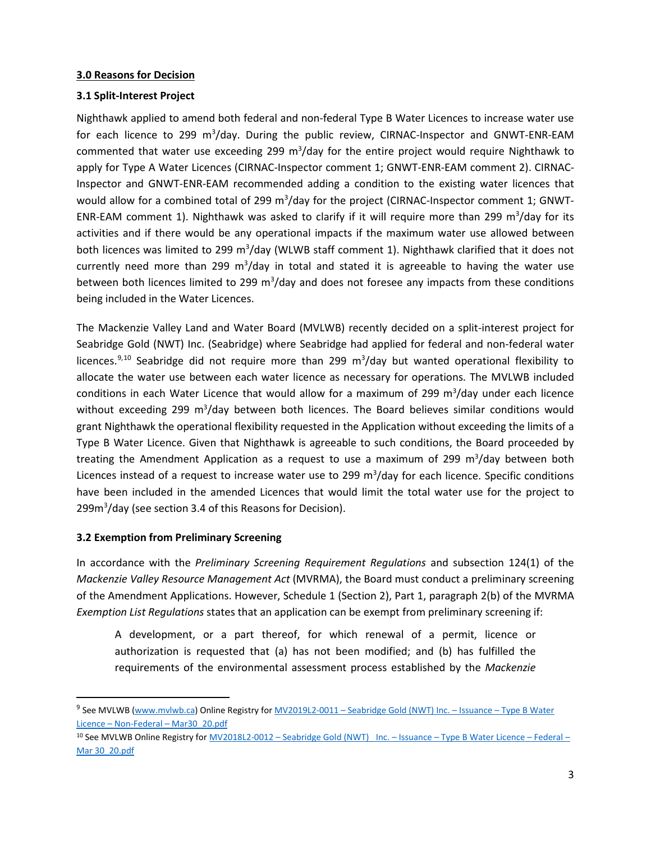#### **3.0 Reasons for Decision**

#### **3.1 Split-Interest Project**

Nighthawk applied to amend both federal and non-federal Type B Water Licences to increase water use for each licence to 299 m<sup>3</sup>/day. During the public review, CIRNAC-Inspector and GNWT-ENR-EAM commented that water use exceeding 299  $m^3$ /day for the entire project would require Nighthawk to apply for Type A Water Licences (CIRNAC-Inspector comment 1; GNWT-ENR-EAM comment 2). CIRNAC-Inspector and GNWT-ENR-EAM recommended adding a condition to the existing water licences that would allow for a combined total of 299 m<sup>3</sup>/day for the project (CIRNAC-Inspector comment 1; GNWT-ENR-EAM comment 1). Nighthawk was asked to clarify if it will require more than 299  $m^3$ /day for its activities and if there would be any operational impacts if the maximum water use allowed between both licences was limited to 299 m<sup>3</sup>/day (WLWB staff comment 1). Nighthawk clarified that it does not currently need more than 299 m<sup>3</sup>/day in total and stated it is agreeable to having the water use between both licences limited to 299 m<sup>3</sup>/day and does not foresee any impacts from these conditions being included in the Water Licences.

The Mackenzie Valley Land and Water Board (MVLWB) recently decided on a split-interest project for Seabridge Gold (NWT) Inc. (Seabridge) where Seabridge had applied for federal and non-federal water licences.<sup>[9](#page-2-0),[10](#page-2-1)</sup> Seabridge did not require more than 299 m<sup>3</sup>/day but wanted operational flexibility to allocate the water use between each water licence as necessary for operations. The MVLWB included conditions in each Water Licence that would allow for a maximum of 299 m<sup>3</sup>/day under each licence without exceeding 299 m<sup>3</sup>/day between both licences. The Board believes similar conditions would grant Nighthawk the operational flexibility requested in the Application without exceeding the limits of a Type B Water Licence. Given that Nighthawk is agreeable to such conditions, the Board proceeded by treating the Amendment Application as a request to use a maximum of 299  $m^3$ /day between both Licences instead of a request to increase water use to 299 m<sup>3</sup>/day for each licence. Specific conditions have been included in the amended Licences that would limit the total water use for the project to 299m<sup>3</sup>/day (see section 3.4 of this Reasons for Decision).

# **3.2 Exemption from Preliminary Screening**

In accordance with the *Preliminary Screening Requirement Regulations* and subsection 124(1) of the *Mackenzie Valley Resource Management Act* (MVRMA), the Board must conduct a preliminary screening of the Amendment Applications. However, Schedule 1 (Section 2), Part 1, paragraph 2(b) of the MVRMA *Exemption List Regulations* states that an application can be exempt from preliminary screening if:

A development, or a part thereof, for which renewal of a permit, licence or authorization is requested that (a) has not been modified; and (b) has fulfilled the requirements of the environmental assessment process established by the *Mackenzie* 

<span id="page-2-0"></span><sup>9</sup> See MVLWB [\(www.mvlwb.ca\)](http://www.mvlwb.ca/) Online Registry for MV2019L2-0011 - Seabridge Gold (NWT) Inc. - Issuance - Type B Water Licence – Non-Federal – [Mar30\\_20.pdf](http://registry.mvlwb.ca/Documents/MV2019L2-0011/MV2019L2-0011%20-%20Seabrdige%20Gold%20(NWT)%20Inc.%20-%20Issuance%20-%20Type%20B%20Water%20Licence%20-%20Non-Federal%20-%20Mar30_20.pdf)

<span id="page-2-1"></span><sup>&</sup>lt;sup>10</sup> See MVLWB Online Registry for MV2018L2-0012 – Seabridge Gold (NWT) Inc. – Issuance – Type B Water Licence – Federal – [Mar 30\\_20.pdf](http://registry.mvlwb.ca/Documents/MV2019L2-0012/MV2019L2-0012%20-%20Seabridge%20Gold%20(NWT)%20Inc.%20-%20Issuance%20-%20Type%20B%20Water%20Licence%20-%20Federal%20-%20Mar30_20.pdf)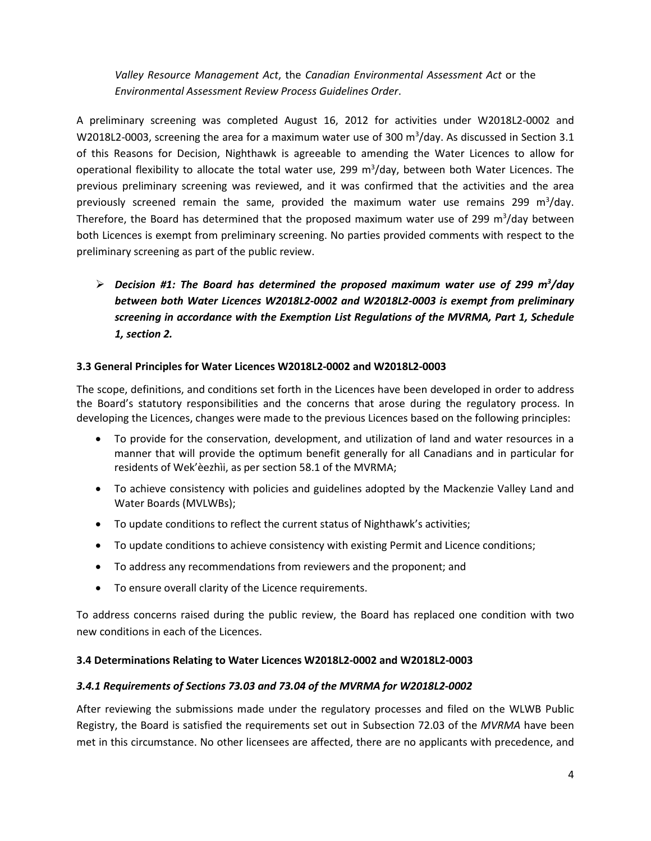*Valley Resource Management Act*, the *Canadian Environmental Assessment Act* or the *Environmental Assessment Review Process Guidelines Order*.

A preliminary screening was completed August 16, 2012 for activities under W2018L2-0002 and W2018L2-0003, screening the area for a maximum water use of 300 m<sup>3</sup>/day. As discussed in Section 3.1 of this Reasons for Decision, Nighthawk is agreeable to amending the Water Licences to allow for operational flexibility to allocate the total water use, 299 m<sup>3</sup>/day, between both Water Licences. The previous preliminary screening was reviewed, and it was confirmed that the activities and the area previously screened remain the same, provided the maximum water use remains 299 m<sup>3</sup>/day. Therefore, the Board has determined that the proposed maximum water use of 299 m<sup>3</sup>/day between both Licences is exempt from preliminary screening. No parties provided comments with respect to the preliminary screening as part of the public review.

 *Decision #1: The Board has determined the proposed maximum water use of 299 m3 /day between both Water Licences W2018L2-0002 and W2018L2-0003 is exempt from preliminary screening in accordance with the Exemption List Regulations of the MVRMA, Part 1, Schedule 1, section 2.*

#### **3.3 General Principles for Water Licences W2018L2-0002 and W2018L2-0003**

The scope, definitions, and conditions set forth in the Licences have been developed in order to address the Board's statutory responsibilities and the concerns that arose during the regulatory process. In developing the Licences, changes were made to the previous Licences based on the following principles:

- To provide for the conservation, development, and utilization of land and water resources in a manner that will provide the optimum benefit generally for all Canadians and in particular for residents of Wek'èezhìi, as per section 58.1 of the MVRMA;
- To achieve consistency with policies and guidelines adopted by the Mackenzie Valley Land and Water Boards (MVLWBs);
- To update conditions to reflect the current status of Nighthawk's activities;
- To update conditions to achieve consistency with existing Permit and Licence conditions;
- To address any recommendations from reviewers and the proponent; and
- To ensure overall clarity of the Licence requirements.

To address concerns raised during the public review, the Board has replaced one condition with two new conditions in each of the Licences.

#### **3.4 Determinations Relating to Water Licences W2018L2-0002 and W2018L2-0003**

#### *3.4.1 Requirements of Sections 73.03 and 73.04 of the MVRMA for W2018L2-0002*

After reviewing the submissions made under the regulatory processes and filed on the WLWB Public Registry, the Board is satisfied the requirements set out in Subsection 72.03 of the *MVRMA* have been met in this circumstance. No other licensees are affected, there are no applicants with precedence, and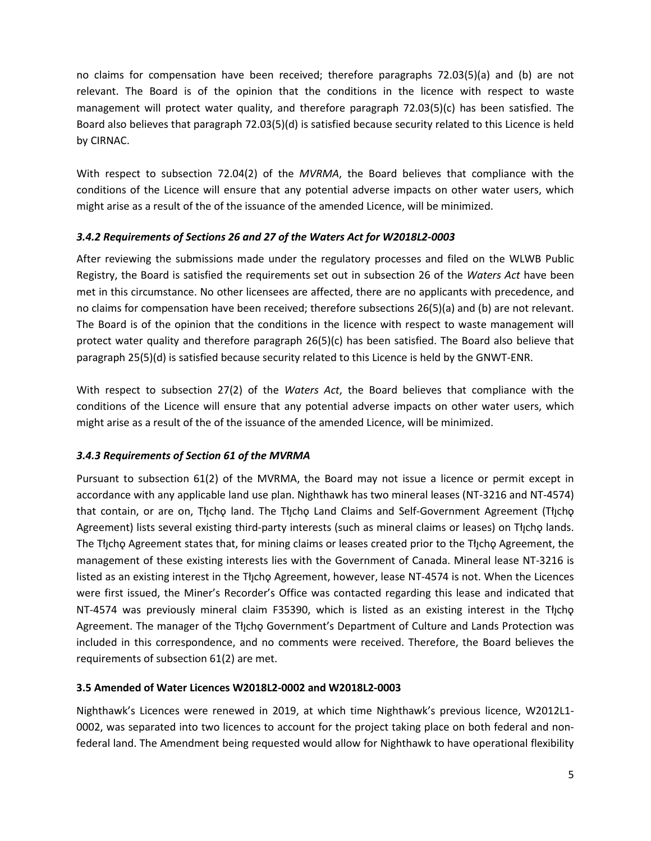no claims for compensation have been received; therefore paragraphs 72.03(5)(a) and (b) are not relevant. The Board is of the opinion that the conditions in the licence with respect to waste management will protect water quality, and therefore paragraph 72.03(5)(c) has been satisfied. The Board also believes that paragraph 72.03(5)(d) is satisfied because security related to this Licence is held by CIRNAC.

With respect to subsection 72.04(2) of the *MVRMA*, the Board believes that compliance with the conditions of the Licence will ensure that any potential adverse impacts on other water users, which might arise as a result of the of the issuance of the amended Licence, will be minimized.

# *3.4.2 Requirements of Sections 26 and 27 of the Waters Act for W2018L2-0003*

After reviewing the submissions made under the regulatory processes and filed on the WLWB Public Registry, the Board is satisfied the requirements set out in subsection 26 of the *Waters Act* have been met in this circumstance. No other licensees are affected, there are no applicants with precedence, and no claims for compensation have been received; therefore subsections 26(5)(a) and (b) are not relevant. The Board is of the opinion that the conditions in the licence with respect to waste management will protect water quality and therefore paragraph 26(5)(c) has been satisfied. The Board also believe that paragraph 25(5)(d) is satisfied because security related to this Licence is held by the GNWT-ENR.

With respect to subsection 27(2) of the *Waters Act*, the Board believes that compliance with the conditions of the Licence will ensure that any potential adverse impacts on other water users, which might arise as a result of the of the issuance of the amended Licence, will be minimized.

# *3.4.3 Requirements of Section 61 of the MVRMA*

Pursuant to subsection 61(2) of the MVRMA, the Board may not issue a licence or permit except in accordance with any applicable land use plan. Nighthawk has two mineral leases (NT-3216 and NT-4574) that contain, or are on, Tłįchǫ land. The Tłįchǫ Land Claims and Self-Government Agreement (Tłįchǫ Agreement) lists several existing third-party interests (such as mineral claims or leases) on Tłycho lands. The Tłįcho Agreement states that, for mining claims or leases created prior to the Tłįcho Agreement, the management of these existing interests lies with the Government of Canada. Mineral lease NT-3216 is listed as an existing interest in the Tłįchǫ Agreement, however, lease NT-4574 is not. When the Licences were first issued, the Miner's Recorder's Office was contacted regarding this lease and indicated that NT-4574 was previously mineral claim F35390, which is listed as an existing interest in the Tłįcho Agreement. The manager of the Tłicho Government's Department of Culture and Lands Protection was included in this correspondence, and no comments were received. Therefore, the Board believes the requirements of subsection 61(2) are met.

#### **3.5 Amended of Water Licences W2018L2-0002 and W2018L2-0003**

Nighthawk's Licences were renewed in 2019, at which time Nighthawk's previous licence, W2012L1- 0002, was separated into two licences to account for the project taking place on both federal and nonfederal land. The Amendment being requested would allow for Nighthawk to have operational flexibility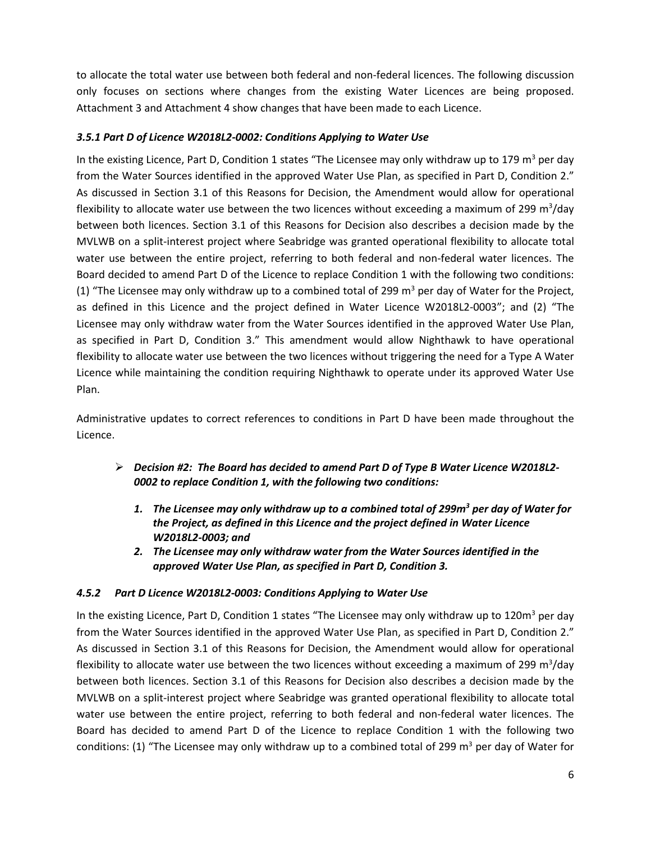to allocate the total water use between both federal and non-federal licences. The following discussion only focuses on sections where changes from the existing Water Licences are being proposed. Attachment 3 and Attachment 4 show changes that have been made to each Licence.

# *3.5.1 Part D of Licence W2018L2-0002: Conditions Applying to Water Use*

In the existing Licence, Part D, Condition 1 states "The Licensee may only withdraw up to 179 m<sup>3</sup> per day from the Water Sources identified in the approved Water Use Plan, as specified in Part D, Condition 2." As discussed in Section 3.1 of this Reasons for Decision, the Amendment would allow for operational flexibility to allocate water use between the two licences without exceeding a maximum of 299 m<sup>3</sup>/day between both licences. Section 3.1 of this Reasons for Decision also describes a decision made by the MVLWB on a split-interest project where Seabridge was granted operational flexibility to allocate total water use between the entire project, referring to both federal and non-federal water licences. The Board decided to amend Part D of the Licence to replace Condition 1 with the following two conditions: (1) "The Licensee may only withdraw up to a combined total of 299  $m<sup>3</sup>$  per day of Water for the Project, as defined in this Licence and the project defined in Water Licence W2018L2-0003"; and (2) "The Licensee may only withdraw water from the Water Sources identified in the approved Water Use Plan, as specified in Part D, Condition 3." This amendment would allow Nighthawk to have operational flexibility to allocate water use between the two licences without triggering the need for a Type A Water Licence while maintaining the condition requiring Nighthawk to operate under its approved Water Use Plan.

Administrative updates to correct references to conditions in Part D have been made throughout the Licence.

- *Decision #2: The Board has decided to amend Part D of Type B Water Licence W2018L2- 0002 to replace Condition 1, with the following two conditions:*
	- 1. The Licensee may only withdraw up to a combined total of 299m<sup>3</sup> per day of Water for *the Project, as defined in this Licence and the project defined in Water Licence W2018L2-0003; and*
	- *2. The Licensee may only withdraw water from the Water Sources identified in the approved Water Use Plan, as specified in Part D, Condition 3.*

# *4.5.2 Part D Licence W2018L2-0003: Conditions Applying to Water Use*

In the existing Licence, Part D, Condition 1 states "The Licensee may only withdraw up to 120m<sup>3</sup> per day from the Water Sources identified in the approved Water Use Plan, as specified in Part D, Condition 2." As discussed in Section 3.1 of this Reasons for Decision, the Amendment would allow for operational flexibility to allocate water use between the two licences without exceeding a maximum of 299 m<sup>3</sup>/day between both licences. Section 3.1 of this Reasons for Decision also describes a decision made by the MVLWB on a split-interest project where Seabridge was granted operational flexibility to allocate total water use between the entire project, referring to both federal and non-federal water licences. The Board has decided to amend Part D of the Licence to replace Condition 1 with the following two conditions: (1) "The Licensee may only withdraw up to a combined total of 299  $m<sup>3</sup>$  per day of Water for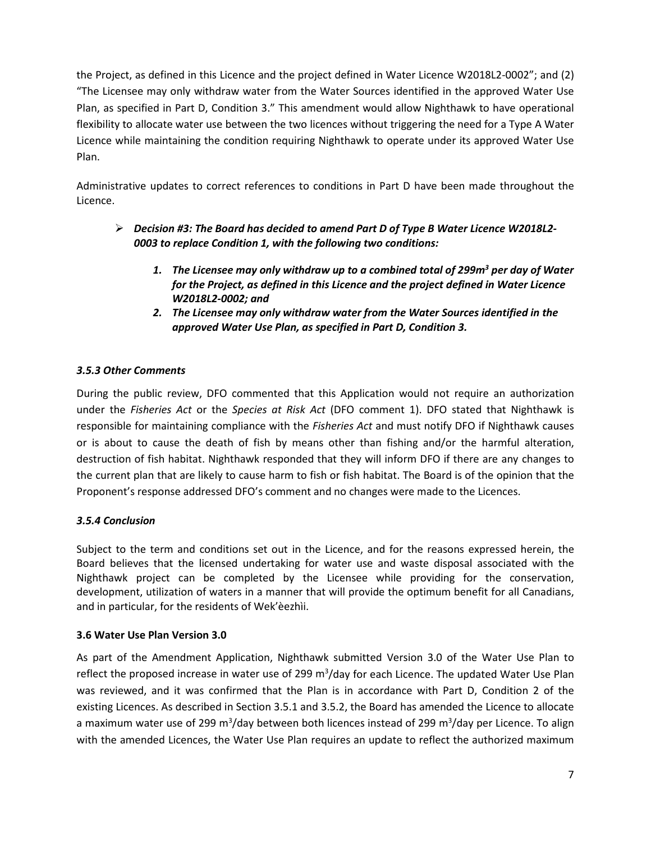the Project, as defined in this Licence and the project defined in Water Licence W2018L2-0002"; and (2) "The Licensee may only withdraw water from the Water Sources identified in the approved Water Use Plan, as specified in Part D, Condition 3." This amendment would allow Nighthawk to have operational flexibility to allocate water use between the two licences without triggering the need for a Type A Water Licence while maintaining the condition requiring Nighthawk to operate under its approved Water Use Plan.

Administrative updates to correct references to conditions in Part D have been made throughout the Licence.

- *Decision #3: The Board has decided to amend Part D of Type B Water Licence W2018L2- 0003 to replace Condition 1, with the following two conditions:*
	- *1. The Licensee may only withdraw up to a combined total of 299m3 per day of Water for the Project, as defined in this Licence and the project defined in Water Licence W2018L2-0002; and*
	- *2. The Licensee may only withdraw water from the Water Sources identified in the approved Water Use Plan, as specified in Part D, Condition 3.*

# *3.5.3 Other Comments*

During the public review, DFO commented that this Application would not require an authorization under the *Fisheries Act* or the *Species at Risk Act* (DFO comment 1). DFO stated that Nighthawk is responsible for maintaining compliance with the *Fisheries Act* and must notify DFO if Nighthawk causes or is about to cause the death of fish by means other than fishing and/or the harmful alteration, destruction of fish habitat. Nighthawk responded that they will inform DFO if there are any changes to the current plan that are likely to cause harm to fish or fish habitat. The Board is of the opinion that the Proponent's response addressed DFO's comment and no changes were made to the Licences.

# *3.5.4 Conclusion*

Subject to the term and conditions set out in the Licence, and for the reasons expressed herein, the Board believes that the licensed undertaking for water use and waste disposal associated with the Nighthawk project can be completed by the Licensee while providing for the conservation, development, utilization of waters in a manner that will provide the optimum benefit for all Canadians, and in particular, for the residents of Wek'èezhìi.

#### **3.6 Water Use Plan Version 3.0**

As part of the Amendment Application, Nighthawk submitted Version 3.0 of the Water Use Plan to reflect the proposed increase in water use of 299 m<sup>3</sup>/day for each Licence. The updated Water Use Plan was reviewed, and it was confirmed that the Plan is in accordance with Part D, Condition 2 of the existing Licences. As described in Section 3.5.1 and 3.5.2, the Board has amended the Licence to allocate a maximum water use of 299 m<sup>3</sup>/day between both licences instead of 299 m<sup>3</sup>/day per Licence. To align with the amended Licences, the Water Use Plan requires an update to reflect the authorized maximum